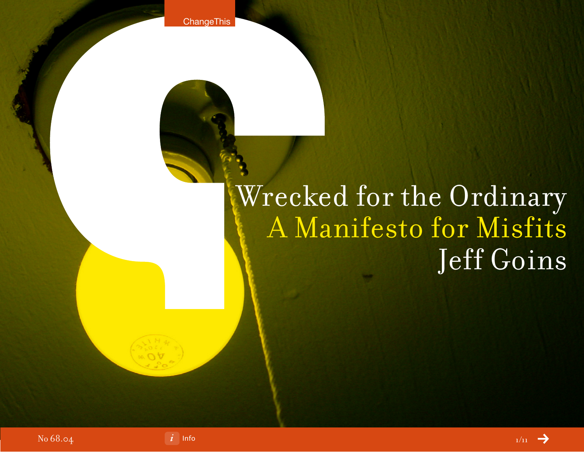**ChangeThis** 

# Wrecked for the Ordinary A Manifesto for Misfits Jeff Goins

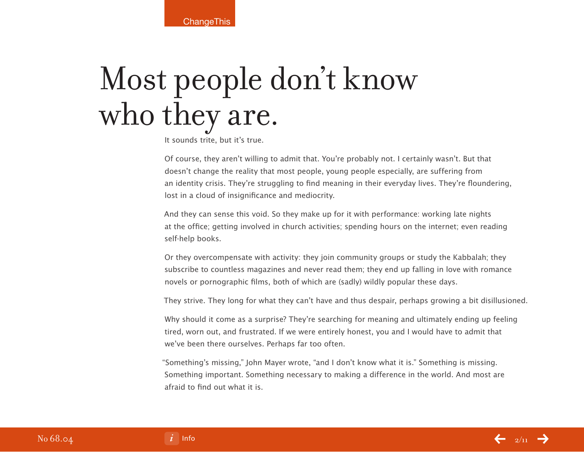**ChangeThis** 

# Most people don't know who they are.

It sounds trite, but it's true.

Of course, they aren't willing to admit that. You're probably not. I certainly wasn't. But that doesn't change the reality that most people, young people especially, are suffering from an identity crisis. They're struggling to find meaning in their everyday lives. They're floundering, lost in a cloud of insignificance and mediocrity.

And they can sense this void. So they make up for it with performance: working late nights at the office; getting involved in church activities; spending hours on the internet; even reading self-help books.

Or they overcompensate with activity: they join community groups or study the Kabbalah; they subscribe to countless magazines and never read them; they end up falling in love with romance novels or pornographic films, both of which are (sadly) wildly popular these days.

They strive. They long for what they can't have and thus despair, perhaps growing a bit disillusioned.

Why should it come as a surprise? They're searching for meaning and ultimately ending up feeling tired, worn out, and frustrated. If we were entirely honest, you and I would have to admit that we've been there ourselves. Perhaps far too often.

"Something's missing," John Mayer wrote, "and I don't know what it is." Something is missing. Something important. Something necessary to making a difference in the world. And most are afraid to find out what it is.

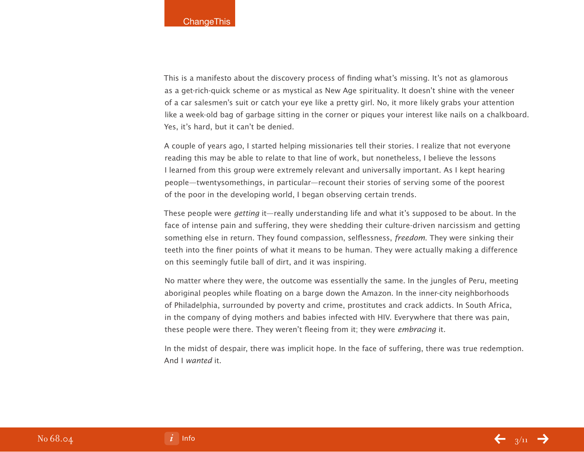This is a manifesto about the discovery process of finding what's missing. It's not as glamorous as a get-rich-quick scheme or as mystical as New Age spirituality. It doesn't shine with the veneer of a car salesmen's suit or catch your eye like a pretty girl. No, it more likely grabs your attention like a week-old bag of garbage sitting in the corner or piques your interest like nails on a chalkboard. Yes, it's hard, but it can't be denied.

A couple of years ago, I started helping missionaries tell their stories. I realize that not everyone reading this may be able to relate to that line of work, but nonetheless, I believe the lessons I learned from this group were extremely relevant and universally important. As I kept hearing people—twentysomethings, in particular—recount their stories of serving some of the poorest of the poor in the developing world, I began observing certain trends.

These people were getting it—really understanding life and what it's supposed to be about. In the face of intense pain and suffering, they were shedding their culture-driven narcissism and getting something else in return. They found compassion, selflessness, *freedom*. They were sinking their teeth into the finer points of what it means to be human. They were actually making a difference on this seemingly futile ball of dirt, and it was inspiring.

No matter where they were, the outcome was essentially the same. In the jungles of Peru, meeting aboriginal peoples while floating on a barge down the Amazon. In the inner-city neighborhoods of Philadelphia, surrounded by poverty and crime, prostitutes and crack addicts. In South Africa, in the company of dying mothers and babies infected with HIV. Everywhere that there was pain, these people were there. They weren't fleeing from it; they were embracing it.

In the midst of despair, there was implicit hope. In the face of suffering, there was true redemption. And I wanted it.



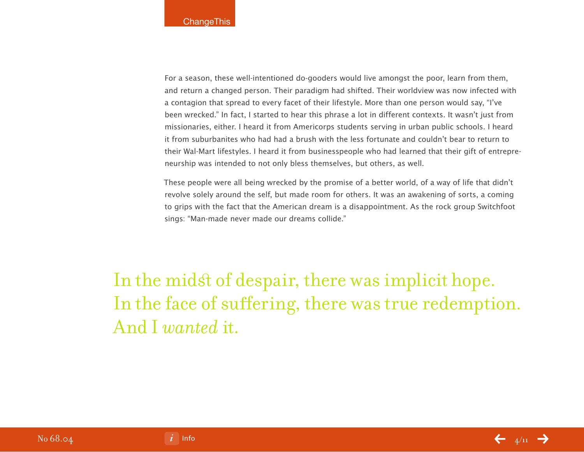For a season, these well-intentioned do-gooders would live amongst the poor, learn from them, and return a changed person. Their paradigm had shifted. Their worldview was now infected with a contagion that spread to every facet of their lifestyle. More than one person would say, "I've been wrecked." In fact, I started to hear this phrase a lot in different contexts. It wasn't just from missionaries, either. I heard it from Americorps students serving in urban public schools. I heard it from suburbanites who had had a brush with the less fortunate and couldn't bear to return to their Wal-Mart lifestyles. I heard it from businesspeople who had learned that their gift of entrepreneurship was intended to not only bless themselves, but others, as well.

These people were all being wrecked by the promise of a better world, of a way of life that didn't revolve solely around the self, but made room for others. It was an awakening of sorts, a coming to grips with the fact that the American dream is a disappointment. As the rock group Switchfoot sings: "Man-made never made our dreams collide."

In the midst of despair, there was implicit hope. In the face of suffering, there was true redemption. And I *wanted* it.

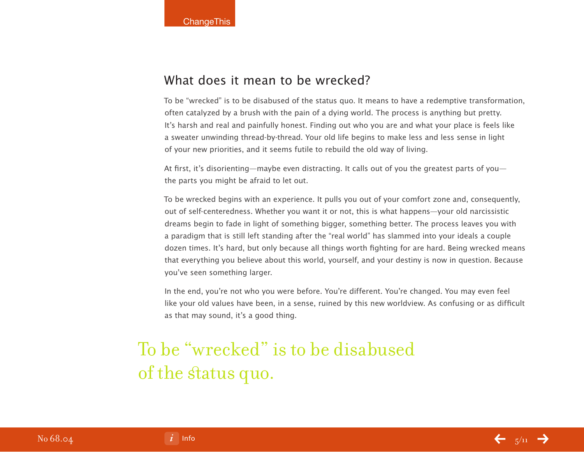## What does it mean to be wrecked?

To be "wrecked" is to be disabused of the status quo. It means to have a redemptive transformation, often catalyzed by a brush with the pain of a dying world. The process is anything but pretty. It's harsh and real and painfully honest. Finding out who you are and what your place is feels like a sweater unwinding thread-by-thread. Your old life begins to make less and less sense in light of your new priorities, and it seems futile to rebuild the old way of living.

At first, it's disorienting—maybe even distracting. It calls out of you the greatest parts of you the parts you might be afraid to let out.

To be wrecked begins with an experience. It pulls you out of your comfort zone and, consequently, out of self-centeredness. Whether you want it or not, this is what happens—your old narcissistic dreams begin to fade in light of something bigger, something better. The process leaves you with a paradigm that is still left standing after the "real world" has slammed into your ideals a couple dozen times. It's hard, but only because all things worth fighting for are hard. Being wrecked means that everything you believe about this world, yourself, and your destiny is now in question. Because you've seen something larger.

In the end, you're not who you were before. You're different. You're changed. You may even feel like your old values have been, in a sense, ruined by this new worldview. As confusing or as difficult as that may sound, it's a good thing.

# To be "wrecked" is to be disabused of the status quo.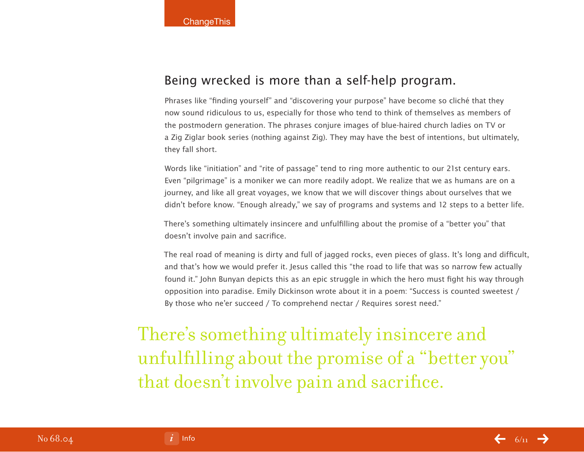## Being wrecked is more than a self-help program.

Phrases like "finding yourself" and "discovering your purpose" have become so cliché that they now sound ridiculous to us, especially for those who tend to think of themselves as members of the postmodern generation. The phrases conjure images of blue-haired church ladies on TV or a Zig Ziglar book series (nothing against Zig). They may have the best of intentions, but ultimately, they fall short.

Words like "initiation" and "rite of passage" tend to ring more authentic to our 21st century ears. Even "pilgrimage" is a moniker we can more readily adopt. We realize that we as humans are on a journey, and like all great voyages, we know that we will discover things about ourselves that we didn't before know. "Enough already," we say of programs and systems and 12 steps to a better life.

There's something ultimately insincere and unfulfilling about the promise of a "better you" that doesn't involve pain and sacrifice.

The real road of meaning is dirty and full of jagged rocks, even pieces of glass. It's long and difficult, and that's how we would prefer it. Jesus called this "the road to life that was so narrow few actually found it." John Bunyan depicts this as an epic struggle in which the hero must fight his way through opposition into paradise. Emily Dickinson wrote about it in a poem: "Success is counted sweetest / By those who ne'er succeed / To comprehend nectar / Requires sorest need."

There's something ultimately insincere and unfulfilling about the promise of a "better you" that doesn't involve pain and sacrifice.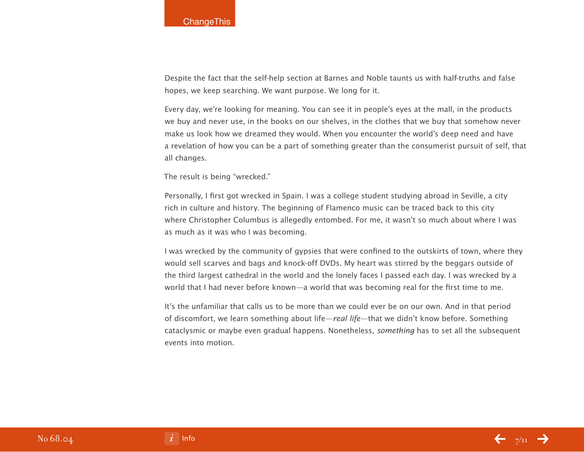Despite the fact that the self-help section at Barnes and Noble taunts us with half-truths and false hopes, we keep searching. We want purpose. We long for it.

Every day, we're looking for meaning. You can see it in people's eyes at the mall, in the products we buy and never use, in the books on our shelves, in the clothes that we buy that somehow never make us look how we dreamed they would. When you encounter the world's deep need and have a revelation of how you can be a part of something greater than the consumerist pursuit of self, that all changes.

The result is being "wrecked."

Personally, I first got wrecked in Spain. I was a college student studying abroad in Seville, a city rich in culture and history. The beginning of Flamenco music can be traced back to this city where Christopher Columbus is allegedly entombed. For me, it wasn't so much about where I was as much as it was who I was becoming.

I was wrecked by the community of gypsies that were confined to the outskirts of town, where they would sell scarves and bags and knock-off DVDs. My heart was stirred by the beggars outside of the third largest cathedral in the world and the lonely faces I passed each day. I was wrecked by a world that I had never before known—a world that was becoming real for the first time to me.

It's the unfamiliar that calls us to be more than we could ever be on our own. And in that period of discomfort, we learn something about life—real life—that we didn't know before. Something cataclysmic or maybe even gradual happens. Nonetheless, something has to set all the subsequent events into motion.



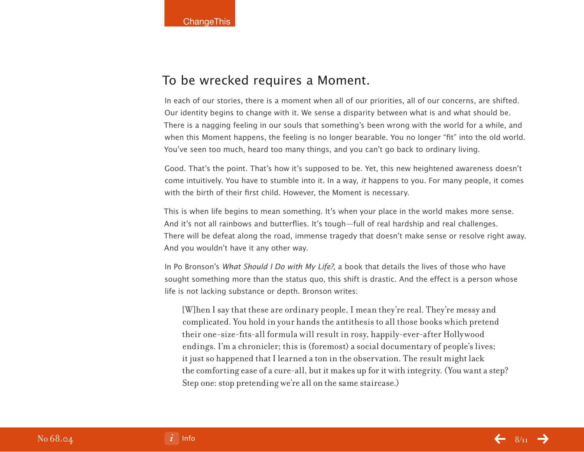### To be wrecked requires a Moment.

In each of our stories, there is a moment when all of our priorities, all of our concerns, are shifted. Our identity begins to change with it. We sense a disparity between what is and what should be. There is a nagging feeling in our souls that something's been wrong with the world for a while, and when this Moment happens, the feeling is no longer bearable. You no longer "fit" into the old world. You've seen too much, heard too many things, and you can't go back to ordinary living.

Good. That's the point. That's how it's supposed to be. Yet, this new heightened awareness doesn't come intuitively. You have to stumble into it. In a way, it happens to you. For many people, it comes with the birth of their first child. However, the Moment is necessary.

This is when life begins to mean something. It's when your place in the world makes more sense. And it's not all rainbows and butterflies. It's tough—full of real hardship and real challenges. There will be defeat along the road, immense tragedy that doesn't make sense or resolve right away. And you wouldn't have it any other way.

In Po Bronson's What Should I Do with My Life?, a book that details the lives of those who have sought something more than the status quo, this shift is drastic. And the effect is a person whose life is not lacking substance or depth. Bronson writes:

[W]hen I say that these are ordinary people, I mean they're real. They're messy and complicated. You hold in your hands the antithesis to all those books which pretend their one-size-fits-all formula will result in rosy, happily-ever-after Hollywood endings. I'm a chronicler; this is (foremost) a social documentary of people's lives; it just so happened that I learned a ton in the observation. The result might lack the comforting ease of a cure-all, but it makes up for it with integrity. (You want a step? Step one: stop pretending we're all on the same staircase.)

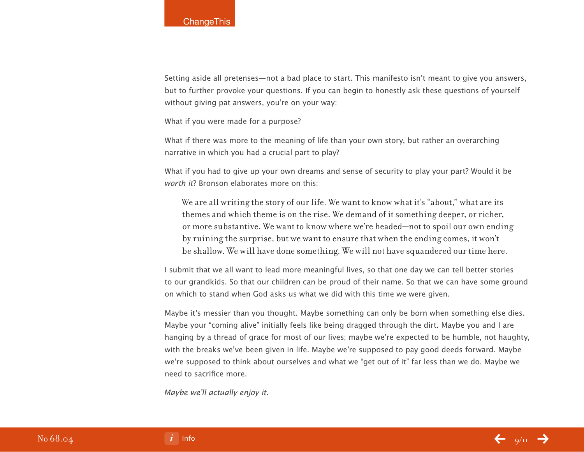Setting aside all pretenses—not a bad place to start. This manifesto isn't meant to give you answers, but to further provoke your questions. If you can begin to honestly ask these questions of yourself without giving pat answers, you're on your way:

What if you were made for a purpose?

What if there was more to the meaning of life than your own story, but rather an overarching narrative in which you had a crucial part to play?

What if you had to give up your own dreams and sense of security to play your part? Would it be worth it? Bronson elaborates more on this:

We are all writing the story of our life. We want to know what it's "about," what are its themes and which theme is on the rise. We demand of it something deeper, or richer, or more substantive. We want to know where we're headed—not to spoil our own ending by ruining the surprise, but we want to ensure that when the ending comes, it won't be shallow. We will have done something. We will not have squandered our time here.

I submit that we all want to lead more meaningful lives, so that one day we can tell better stories to our grandkids. So that our children can be proud of their name. So that we can have some ground on which to stand when God asks us what we did with this time we were given.

Maybe it's messier than you thought. Maybe something can only be born when something else dies. Maybe your "coming alive" initially feels like being dragged through the dirt. Maybe you and I are hanging by a thread of grace for most of our lives; maybe we're expected to be humble, not haughty, with the breaks we've been given in life. Maybe we're supposed to pay good deeds forward. Maybe we're supposed to think about ourselves and what we "get out of it" far less than we do. Maybe we need to sacrifice more.

Maybe we'll actually enjoy it.

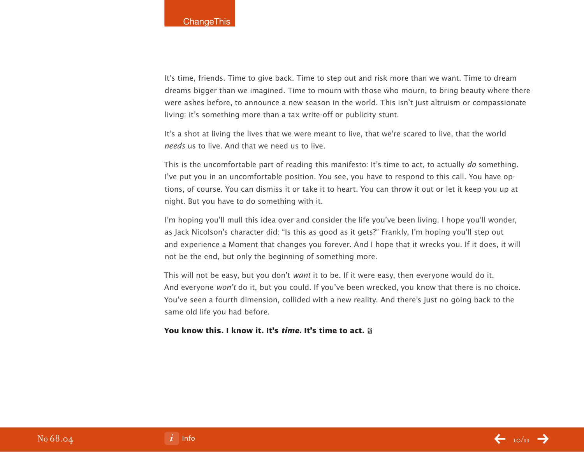It's time, friends. Time to give back. Time to step out and risk more than we want. Time to dream dreams bigger than we imagined. Time to mourn with those who mourn, to bring beauty where there were ashes before, to announce a new season in the world. This isn't just altruism or compassionate living; it's something more than a tax write-off or publicity stunt.

It's a shot at living the lives that we were meant to live, that we're scared to live, that the world needs us to live. And that we need us to live.

This is the uncomfortable part of reading this manifesto: It's time to act, to actually do something. I've put you in an uncomfortable position. You see, you have to respond to this call. You have options, of course. You can dismiss it or take it to heart. You can throw it out or let it keep you up at night. But you have to do something with it.

I'm hoping you'll mull this idea over and consider the life you've been living. I hope you'll wonder, as Jack Nicolson's character did: "Is this as good as it gets?" Frankly, I'm hoping you'll step out and experience a Moment that changes you forever. And I hope that it wrecks you. If it does, it will not be the end, but only the beginning of something more.

This will not be easy, but you don't want it to be. If it were easy, then everyone would do it. And everyone won't do it, but you could. If you've been wrecked, you know that there is no choice. You've seen a fourth dimension, collided with a new reality. And there's just no going back to the same old life you had before.

#### **You know this. I know it. It's time. It's time to act.**